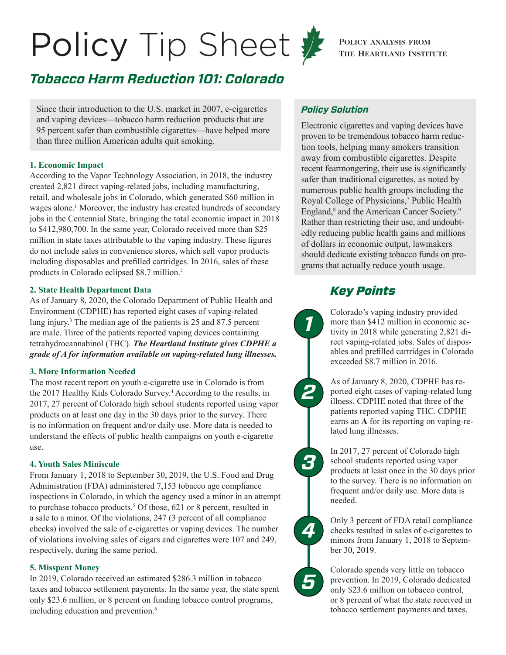# <span id="page-0-0"></span>Policy Tip Sheet  $\sum_{\text{THE HERATLAND INSTIT}}$

# *Tobacco Harm Reduction 101: Colorado*

Since their introduction to the U.S. market in 2007, e-cigarettes and vaping devices—tobacco harm reduction products that are 95 percent safer than combustible cigarettes—have helped more than three million American adults quit smoking.

#### **1. Economic Impact**

According to the Vapor Technology Association, in 2018, the industry created 2,821 direct vaping-related jobs, including manufacturing, retail, and wholesale jobs in Colorado, which generated \$60 million in wages alone.<sup>1</sup> Moreover, the industry has created hundreds of secondary jobs in the Centennial State, bringing the total economic impact in 2018 to \$412,980,700. In the same year, Colorado received more than \$25 million in state taxes attributable to the vaping industry. These figures do not include sales in convenience stores, which sell vapor products including disposables and prefilled cartridges. In 2016, sales of these products in Colorado eclipsed \$8.7 million[.2](#page-1-0)

#### **2. State Health Department Data**

As of January 8, 2020, the Colorado Department of Public Health and Environment (CDPHE) has reported eight cases of vaping-related lung injury.<sup>3</sup> The median age of the patients is 25 and 87.5 percent are male. Three of the patients reported vaping devices containing tetrahydrocannabinol (THC). *The Heartland Institute gives CDPHE a grade of A for information available on vaping-related lung illnesses.*

#### **3. More Information Needed**

The most recent report on youth e-cigarette use in Colorado is from the 2017 Healthy Kids Colorado Survey.[4](#page-1-0) According to the results, in 2017, 27 percent of Colorado high school students reported using vapor products on at least one day in the 30 days prior to the survey. There is no information on frequent and/or daily use. More data is needed to understand the effects of public health campaigns on youth e-cigarette use.

#### **4. Youth Sales Miniscule**

From January 1, 2018 to September 30, 2019, the U.S. Food and Drug Administration (FDA) administered 7,153 tobacco age compliance inspections in Colorado, in which the agency used a minor in an attempt to purchase tobacco products.<sup>[5](#page-1-0)</sup> Of those, 621 or 8 percent, resulted in a sale to a minor. Of the violations, 247 (3 percent of all compliance checks) involved the sale of e-cigarettes or vaping devices. The number of violations involving sales of cigars and cigarettes were 107 and 249, respectively, during the same period.

#### **5. Misspent Money**

In 2019, Colorado received an estimated \$286.3 million in tobacco taxes and tobacco settlement payments. In the same year, the state spent only \$23.6 million, or 8 percent on funding tobacco control programs, including education and prevention.<sup>6</sup>



#### *Policy Solution*

Electronic cigarettes and vaping devices have proven to be tremendous tobacco harm reduction tools, helping many smokers transition away from combustible cigarettes. Despite recent fearmongering, their use is significantly safer than traditional cigarettes, as noted by numerous public health groups including the Royal College of Physicians,<sup>7</sup> Public Health England,<sup>8</sup> and the American Cancer Society.<sup>[9](#page-1-0)</sup> Rather than restricting their use, and undoubtedly reducing public health gains and millions of dollars in economic output, lawmakers should dedicate existing tobacco funds on programs that actually reduce youth usage.

## *Key Points*

Colorado's vaping industry provided more than \$412 million in economic activity in 2018 while generating 2,821 direct vaping-related jobs. Sales of disposables and prefilled cartridges in Colorado exceeded \$8.7 million in 2016.

As of January 8, 2020, CDPHE has reported eight cases of vaping-related lung illness. CDPHE noted that three of the patients reported vaping THC. CDPHE earns an **A** for its reporting on vaping-related lung illnesses.

In 2017, 27 percent of Colorado high school students reported using vapor products at least once in the 30 days prior to the survey. There is no information on frequent and/or daily use. More data is needed.

Only 3 percent of FDA retail compliance checks resulted in sales of e-cigarettes to minors from January 1, 2018 to September 30, 2019.

*4*

*5*

*3*

*2*

*1*

Colorado spends very little on tobacco prevention. In 2019, Colorado dedicated only \$23.6 million on tobacco control, or 8 percent of what the state received in tobacco settlement payments and taxes.